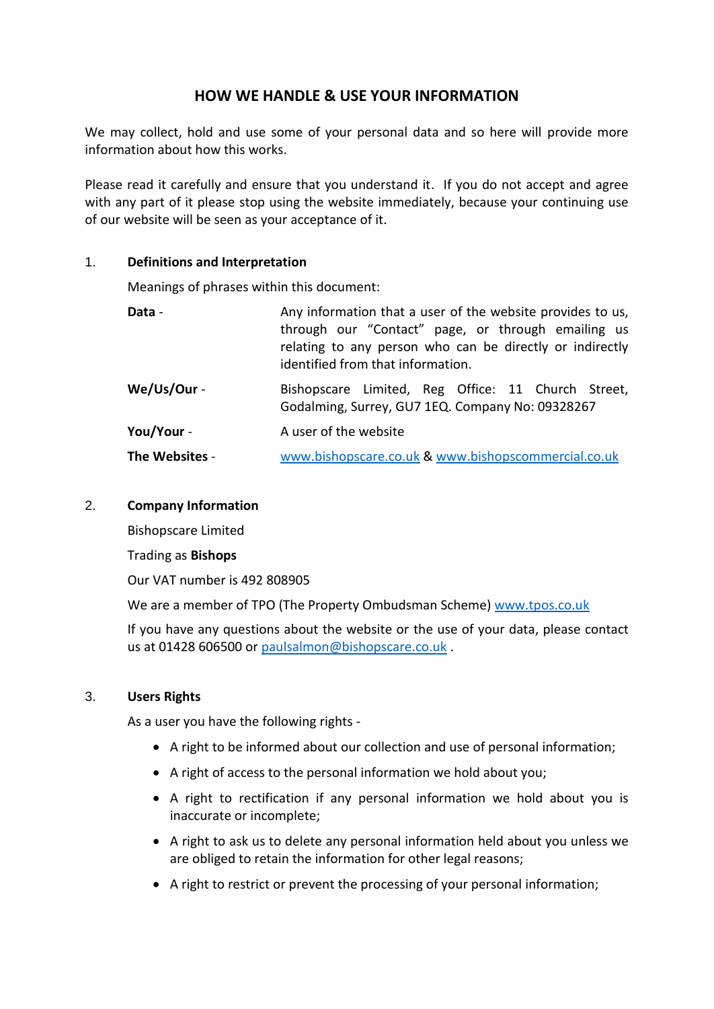# **HOW WE HANDLE & USE YOUR INFORMATION**

We may collect, hold and use some of your personal data and so here will provide more information about how this works.

Please read it carefully and ensure that you understand it. If you do not accept and agree with any part of it please stop using the website immediately, because your continuing use of our website will be seen as your acceptance of it.

## 1. **Definitions and Interpretation**

Meanings of phrases within this document:

| Data -         | Any information that a user of the website provides to us,<br>through our "Contact" page, or through emailing us<br>relating to any person who can be directly or indirectly<br>identified from that information. |
|----------------|-------------------------------------------------------------------------------------------------------------------------------------------------------------------------------------------------------------------|
| We/Us/Our -    | Bishopscare Limited, Reg Office: 11 Church Street,<br>Godalming, Surrey, GU7 1EQ. Company No: 09328267                                                                                                            |
| You/Your -     | A user of the website                                                                                                                                                                                             |
| The Websites - | www.bishopscare.co.uk & www.bishopscommercial.co.uk                                                                                                                                                               |

#### 2. **Company Information**

Bishopscare Limited

Trading as **Bishops**

Our VAT number is 492 808905

We are a member of TPO (The Property Ombudsman Scheme) [www.tpos.co.uk](http://www.tpos.co.uk/)

If you have any questions about the website or the use of your data, please contact us at 01428 606500 or [paulsalmon@bishopscare.co.uk](mailto:paulsalmon@bishopscare.co.uk) .

## 3. **Users Rights**

As a user you have the following rights -

- A right to be informed about our collection and use of personal information;
- A right of access to the personal information we hold about you;
- A right to rectification if any personal information we hold about you is inaccurate or incomplete;
- A right to ask us to delete any personal information held about you unless we are obliged to retain the information for other legal reasons;
- A right to restrict or prevent the processing of your personal information;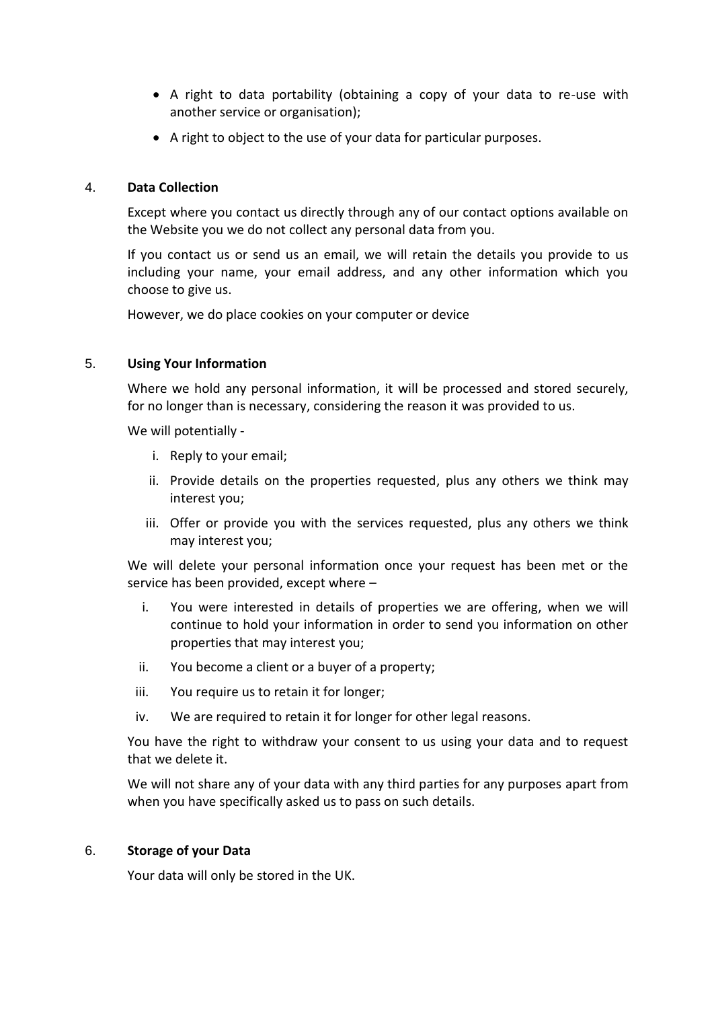- A right to data portability (obtaining a copy of your data to re-use with another service or organisation);
- A right to object to the use of your data for particular purposes.

# 4. **Data Collection**

Except where you contact us directly through any of our contact options available on the Website you we do not collect any personal data from you.

If you contact us or send us an email, we will retain the details you provide to us including your name, your email address, and any other information which you choose to give us.

However, we do place cookies on your computer or device

# 5. **Using Your Information**

Where we hold any personal information, it will be processed and stored securely, for no longer than is necessary, considering the reason it was provided to us.

We will potentially -

- i. Reply to your email;
- ii. Provide details on the properties requested, plus any others we think may interest you;
- iii. Offer or provide you with the services requested, plus any others we think may interest you;

We will delete your personal information once your request has been met or the service has been provided, except where –

- i. You were interested in details of properties we are offering, when we will continue to hold your information in order to send you information on other properties that may interest you;
- ii. You become a client or a buyer of a property;
- iii. You require us to retain it for longer;
- iv. We are required to retain it for longer for other legal reasons.

You have the right to withdraw your consent to us using your data and to request that we delete it.

We will not share any of your data with any third parties for any purposes apart from when you have specifically asked us to pass on such details.

## 6. **Storage of your Data**

Your data will only be stored in the UK.